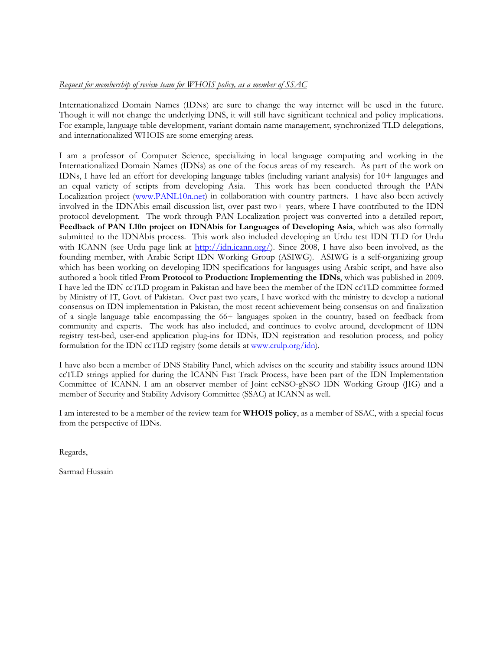#### *Request for membership of review team for WHOIS policy, as a member of SSAC*

Internationalized Domain Names (IDNs) are sure to change the way internet will be used in the future. Though it will not change the underlying DNS, it will still have significant technical and policy implications. For example, language table development, variant domain name management, synchronized TLD delegations, and internationalized WHOIS are some emerging areas.

I am a professor of Computer Science, specializing in local language computing and working in the Internationalized Domain Names (IDNs) as one of the focus areas of my research. As part of the work on IDNs, I have led an effort for developing language tables (including variant analysis) for 10+ languages and an equal variety of scripts from developing Asia. This work has been conducted through the PAN Localization project ([www.PANL10n.net](http://www.panl10n.net/)) in collaboration with country partners. I have also been actively involved in the IDNAbis email discussion list, over past two+ years, where I have contributed to the IDN protocol development. The work through PAN Localization project was converted into a detailed report, **[Feedback of PAN L10n project on IDNAbis for Languages of Developing Asia](http://www.panl10n.net/english/Outputs%20Phase%202/RRCs/RRC-Technology/IDNFeedbackofPANL10nproject.pdf)**, which was also formally submitted to the IDNAbis process. This work also included developing an Urdu test IDN TLD for Urdu with ICANN (see Urdu page link at <http://idn.icann.org/>). Since 2008, I have also been involved, as the founding member, with Arabic Script IDN Working Group (ASIWG). ASIWG is a self-organizing group which has been working on developing IDN specifications for languages using Arabic script, and have also authored a book titled **From Protocol to Production: Implementing the IDNs**, which was published in 2009. I have led the IDN ccTLD program in Pakistan and have been the member of the IDN ccTLD committee formed by Ministry of IT, Govt. of Pakistan. Over past two years, I have worked with the ministry to develop a national consensus on IDN implementation in Pakistan, the most recent achievement being consensus on and finalization of a single language table encompassing the 66+ languages spoken in the country, based on feedback from community and experts. The work has also included, and continues to evolve around, development of IDN registry test-bed, user-end application plug-ins for IDNs, IDN registration and resolution process, and policy formulation for the IDN ccTLD registry (some details at [www.crulp.org/idn\)](http://www.crulp.org/idn).

I have also been a member of DNS Stability Panel, which advises on the security and stability issues around IDN ccTLD strings applied for during the ICANN Fast Track Process, have been part of the IDN Implementation Committee of ICANN. I am an observer member of Joint ccNSO-gNSO IDN Working Group (JIG) and a member of Security and Stability Advisory Committee (SSAC) at ICANN as well.

I am interested to be a member of the review team for **WHOIS policy**, as a member of SSAC, with a special focus from the perspective of IDNs.

Regards,

Sarmad Hussain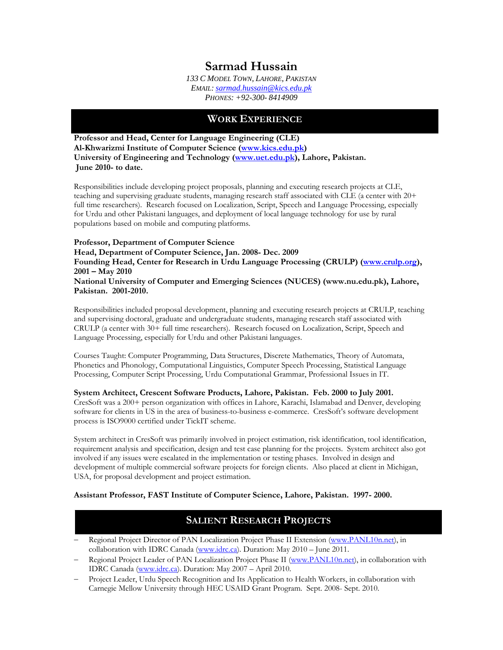# **Sarmad Hussain**

*133 C MODEL TOWN, LAHORE, PAKISTAN EMAIL: [sarmad.hussain@kics.edu.pk](mailto:sarmad.hussain@kics.edu.pk) PHONES: +92-300- 8414909* 

#### **WORK EXPERIENCE**

**Professor and Head, Center for Language Engineering (CLE) Al-Khwarizmi Institute of Computer Science ([www.kics.edu.pk](http://www.kics.edu.pk/)) University of Engineering and Technology [\(www.uet.edu.pk\)](http://www.uet.edu.pk/), Lahore, Pakistan. June 2010- to date.** 

Responsibilities include developing project proposals, planning and executing research projects at CLE, teaching and supervising graduate students, managing research staff associated with CLE (a center with 20+ full time researchers). Research focused on Localization, Script, Speech and Language Processing, especially for Urdu and other Pakistani languages, and deployment of local language technology for use by rural populations based on mobile and computing platforms.

#### **Professor, Department of Computer Science Head, Department of Computer Science, Jan. 2008- Dec. 2009 Founding Head, Center for Research in Urdu Language Processing (CRULP) [\(www.crulp.org\)](http://www.crulp.org/), 2001 – May 2010 National University of Computer and Emerging Sciences (NUCES) (www.nu.edu.pk), Lahore, Pakistan. 2001-2010.**

Responsibilities included proposal development, planning and executing research projects at CRULP, teaching and supervising doctoral, graduate and undergraduate students, managing research staff associated with CRULP (a center with 30+ full time researchers).Research focused on Localization, Script, Speech and Language Processing, especially for Urdu and other Pakistani languages.

Courses Taught: Computer Programming, Data Structures, Discrete Mathematics, Theory of Automata, Phonetics and Phonology, Computational Linguistics, Computer Speech Processing, Statistical Language Processing, Computer Script Processing, Urdu Computational Grammar, Professional Issues in IT.

**System Architect, Crescent Software Products, Lahore, Pakistan. Feb. 2000 to July 2001.** CresSoft was a 200+ person organization with offices in Lahore, Karachi, Islamabad and Denver, developing software for clients in US in the area of business-to-business e-commerce. CresSoft's software development process is ISO9000 certified under TickIT scheme.

System architect in CresSoft was primarily involved in project estimation, risk identification, tool identification, requirement analysis and specification, design and test case planning for the projects. System architect also got involved if any issues were escalated in the implementation or testing phases. Involved in design and development of multiple commercial software projects for foreign clients. Also placed at client in Michigan, USA, for proposal development and project estimation.

#### **Assistant Professor, FAST Institute of Computer Science, Lahore, Pakistan. 1997- 2000.**

### **SALIENT RESEARCH PROJECTS**

- − Regional Project Director of PAN Localization Project Phase II Extension ([www.PANL10n.net\)](http://www.panl10n.net/), in collaboration with IDRC Canada [\(www.idrc.ca\)](http://www.idrc.ca/). Duration: May 2010 – June 2011.
- − Regional Project Leader of PAN Localization Project Phase II [\(www.PANL10n.net](http://www.panl10n.net/)), in collaboration with IDRC Canada [\(www.idrc.ca\)](http://www.idrc.ca/). Duration: May 2007 – April 2010.
- − Project Leader, Urdu Speech Recognition and Its Application to Health Workers, in collaboration with Carnegie Mellow University through HEC USAID Grant Program. Sept. 2008- Sept. 2010.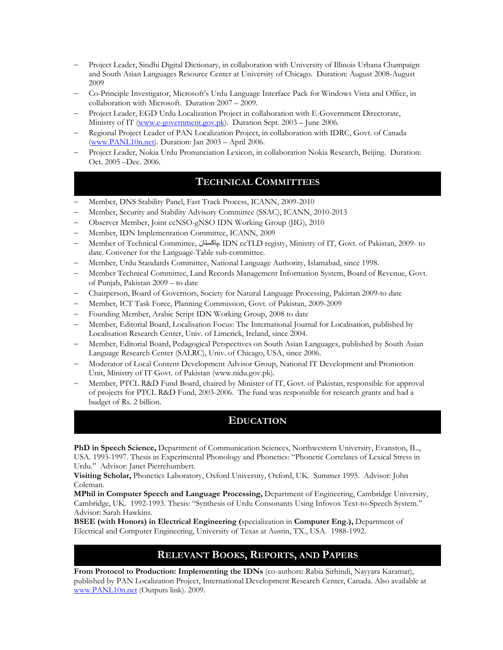- − Project Leader, Sindhi Digital Dictionary, in collaboration with University of Illinois Urbana Champaign and South Asian Languages Resource Center at University of Chicago. Duration: August 2008-August 2009
- − Co-Principle Investigator, Microsoft's Urdu Language Interface Pack for Windows Vista and Office, in collaboration with Microsoft. Duration 2007 – 2009.
- − Project Leader, EGD Urdu Localization Project in collaboration with E-Government Directorate, Ministry of IT ([www.e-government.gov.pk](http://www.e-government.gov.pk/)). Duration Sept. 2003 - June 2006.
- − Regional Project Leader of PAN Localization Project, in collaboration with IDRC, Govt. of Canada ([www.PANL10n.net\)](http://www.panl10n.net/). Duration: Jan 2003 – April 2006.
- − Project Leader, Nokia Urdu Pronunciation Lexicon, in collaboration Nokia Research, Beijing. Duration: Oct. 2005 –Dec. 2006.

### **TECHNICAL COMMITTEES**

- − Member, DNS Stability Panel, Fast Track Process, ICANN, 2009-2010
- − Member, Security and Stability Advisory Committee (SSAC), ICANN, 2010-2013
- − Observer Member, Joint ccNSO-gNSO IDN Working Group (JIG), 2010
- Member, IDN Implementation Committee, ICANN, 2009
- − Member of Technical Committee, ۔پاکستان IDN ccTLD registy, Ministry of IT, Govt. of Pakistan, 2009- to date. Convener for the Language-Table sub-committee.
- − Member, Urdu Standards Committee, National Language Authority, Islamabad, since 1998.
- − Member Technical Committee, Land Records Management Information System, Board of Revenue, Govt. of Punjab, Pakistan 2009 – to date
- − Chairperson, Board of Governors, Society for Natural Language Processing, Pakistan 2009-to date
- − Member, ICT Task Force, Planning Commission, Govt. of Pakistan, 2009-2009
- − Founding Member, Arabic Script IDN Working Group, 2008 to date
- − Member, Editorial Board, Localisation Focus: The International Journal for Localisation, published by Localisation Research Center, Univ. of Limerick, Ireland, since 2004.
- − Member, Editorial Board, Pedagogical Perspectives on South Asian Languages, published by South Asian Language Research Center (SALRC), Univ. of Chicago, USA, since 2006.
- − Moderator of Local Content Development Advisor Group, National IT Development and Promotion Unit, Ministry of IT Govt. of Pakistan (www.nidu.gov.pk).
- − Member, PTCL R&D Fund Board, chaired by Minister of IT, Govt. of Pakistan, responsible for approval of projects for PTCL R&D Fund, 2003-2006. The fund was responsible for research grants and had a budget of Rs. 2 billion.

#### **EDUCATION**

**PhD in Speech Science,** Department of Communication Sciences, Northwestern University, Evanston, IL., USA. 1993-1997. Thesis in Experimental Phonology and Phonetics: "Phonetic Correlates of Lexical Stress in Urdu." Advisor: Janet Pierrehumbert.

**Visiting Scholar,** Phonetics Laboratory, Oxford University, Oxford, UK. Summer 1995. Advisor: John Coleman.

**MPhil in Computer Speech and Language Processing,** Department of Engineering, Cambridge University, Cambridge, UK. 1992-1993. Thesis: "Synthesis of Urdu Consonants Using Infovox Text-to-Speech System." Advisor: Sarah Hawkins.

**BSEE (with Honors) in Electrical Engineering (**specialization in **Computer Eng.),** Department of Electrical and Computer Engineering, University of Texas at Austin, TX., USA. 1988-1992.

# **RELEVANT BOOKS, REPORTS, AND PAPERS**

**From Protocol to Production: Implementing the IDNs** (co-authors: Rabia Sirhindi, Nayyara Karamat), published by PAN Localization Project, International Development Research Center, Canada. Also available at [www.PANL10n.net](http://www.panl10n.net/) (Outputs link). 2009.